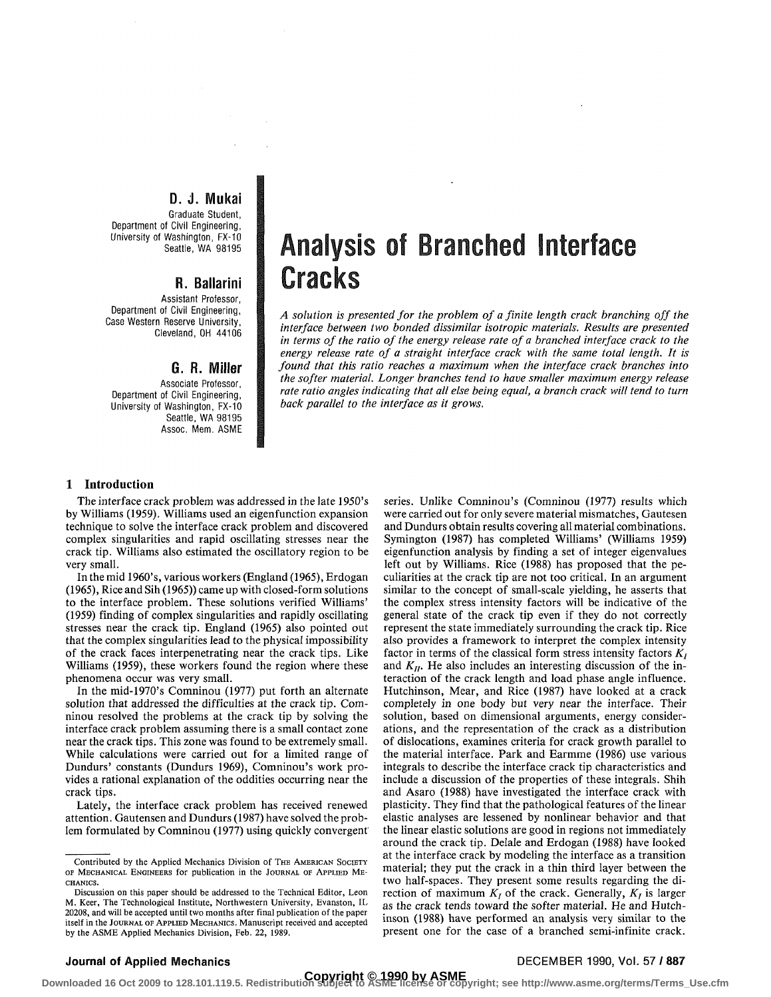### D. J. Mukai

Graduate Student, Department of Civil Engineering, University of Washington, FX-10 Seattle, WA 98195

## R. Ballarini

Assistant Professor, Department of Civil Engineering, Case Western Reserve University, Cleveland, OH 44106

### G. R. Miller

Associate Professor, Department of Civil Engineering, University of Washington, FX-10 Seattle, WA 98195 Assoc. Mem. ASME

# Analysis of Branched Interface **Cracks**

*A solution is presented for the problem of a finite length crack branching off the interface between two bonded dissimilar isotropic materials. Results are presented in terms of the ratio of the energy release rate of a branched interface crack to the energy release rate of a straight interface crack with the same total length. It is found that this ratio reaches a maximum when the interface crack branches into the softer material. Longer branches tend to have smaller maximum energy release rate ratio angles indicating that all else being equal, a branch crack will tend to turn back parallel to the interface as it grows.* 

### **1 Introduction**

The interface crack problem was addressed in the late 1950's by Williams (1959). Williams used an eigenfunction expansion technique to solve the interface crack problem and discovered complex singularities and rapid oscillating stresses near the crack tip. Williams also estimated the oscillatory region to be very small.

In the mid 1960's, various workers (England (1965), Erdogan (1965), Rice and Sih (1965)) came up with closed-form solutions to the interface problem. These solutions verified Williams' (1959) finding of complex singularities and rapidly oscillating stresses near the crack tip. England (1965) also pointed out that the complex singularities lead to the physical impossibility of the crack faces interpenetrating near the crack tips. Like Williams (1959), these workers found the region where these phenomena occur was very small.

In the mid-1970's Comninou (1977) put forth an alternate solution that addressed the difficulties at the crack tip. Comninou resolved the problems at the crack tip by solving the interface crack problem assuming there is a small contact zone near the crack tips. This zone was found to be extremely small. While calculations were carried out for a limited range of Dundurs' constants (Dundurs 1969), Comninou's work provides a rational explanation of the oddities occurring near the crack tips.

Lately, the interface crack problem has received renewed attention. Gautensen and Dundurs (1987) have solved the problem formulated by Comninou (1977) using quickly convergent series. Unlike Comninou's (Comninou (1977) results which were carried out for only severe material mismatches, Gautesen and Dundurs obtain results covering all material combinations. Symington (1987) has completed Williams' (Williams 1959) eigenfunction analysis by finding a set of integer eigenvalues left out by Williams. Rice (1988) has proposed that the peculiarities at the crack tip are not too critical. In an argument similar to the concept of small-scale yielding, he asserts that the complex stress intensity factors will be indicative of the general state of the crack tip even if they do not correctly represent the state immediately surrounding the crack tip. Rice also provides a framework to interpret the complex intensity factor in terms of the classical form stress intensity factors  $K_I$ and  $K_{II}$ . He also includes an interesting discussion of the interaction of the crack length and load phase angle influence. Hutchinson, Mear, and Rice (1987) have looked at a crack completely in one body but very near the interface. Their solution, based on dimensional arguments, energy considerations, and the representation of the crack as a distribution of dislocations, examines criteria for crack growth parallel to the material interface. Park and Earmme (1986) use various integrals to describe the interface crack tip characteristics and include a discussion of the properties of these integrals. Shih and Asaro (1988) have investigated the interface crack with plasticity. They find that the pathological features of the linear elastic analyses are lessened by nonlinear behavior and that the linear elastic solutions are good in regions not immediately around the crack tip. Delale and Erdogan (1988) have looked at the interface crack by modeling the interface as a transition material; they put the crack in a thin third layer between the the dialf-spaces. They put the crack in a timit intitude and the di-<br>two half-spaces. They present some results regarding the di-<br>rection of maximum *K*, of the crack. Generally, *K* is larger rection of maximum  $K_I$  of the crack. Generally,  $K_I$  is larger as the crack tends toward the softer material. He and Hutchinson (1988) have performed an analysis very similar to the present one for the case of a branched semi-infinite crack.

### **Journal of Applied Mechanics DECEMBER 1990, Vol. 57** / **887**

Contributed by the Applied Mechanics Division of THE AMERICAN SOCIETY OF MECHANICAL ENGINEERS for publication in the JOURNAL OF APPLIED ME-CHANICS.

Discussion on this paper should be addressed to the Technical Editor, Leon M. Keer, The Technological Institute, Northwestern University, Evanston, IL 20208, and will be accepted until two months after final publication of the paper itself in the JOURNAL OF APPLIED MECHANICS. Manuscript received and accepted by the ASME Applied Mechanics Division, Feb. 22, 1989.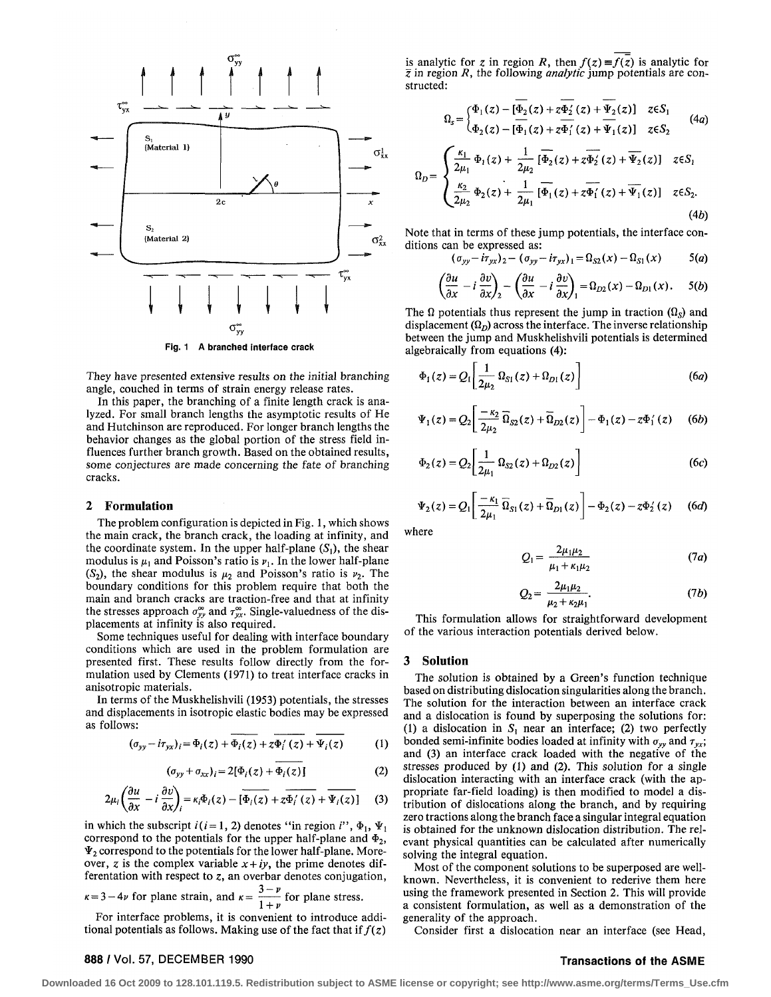

They have presented extensive results on the initial branching angle, couched in terms of strain energy release rates.

In this paper, the branching of a finite length crack is analyzed. For small branch lengths the asymptotic results of He and Hutchinson are reproduced. For longer branch lengths the behavior changes as the global portion of the stress field influences further branch growth. Based on the obtained results, some conjectures are made concerning the fate of branching cracks.

#### 2 **Formulation**

The problem configuration is depicted in Fig. 1, which shows the main crack, the branch crack, the loading at infinity, and the coordinate system. In the upper half-plane  $(S_1)$ , the shear modulus is  $\mu_1$  and Poisson's ratio is  $\nu_1$ . In the lower half-plane  $(S_2)$ , the shear modulus is  $\mu_2$  and Poisson's ratio is  $\nu_2$ . The boundary conditions for this problem require that both the main and branch cracks are traction-free and that at infinity the stresses approach  $\sigma_{yy}^{\infty}$  and  $\tau_{yx}^{\infty}$ . Single-valuedness of the displacements at infinity is also required.

Some techniques useful for dealing with interface boundary conditions which are used in the problem formulation are presented first. These results follow directly from the formulation used by Clements (1971) to treat interface cracks in anisotropic materials.

In terms of the Muskhelishvili (1953) potentials, the stresses and displacements in isotropic elastic bodies may be expressed as follows:

$$
(\sigma_{yy} - i\tau_{yx})_i = \Phi_i(z) + \Phi_i(z) + z\Phi'_i(z) + \Psi_i(z)
$$
 (1)

$$
(\sigma_{yy} + \sigma_{xx})_i = 2[\Phi_i(z) + \Phi_i(z)] \qquad (2)
$$

$$
2\mu_i \left(\frac{\partial u}{\partial x} - i\,\frac{\partial v}{\partial x}\right)_i = \kappa_i \Phi_i(z) - \left[\overline{\Phi_i(z)} + z\overline{\Phi'_i(z)} + \overline{\Psi_i(z)}\right] \tag{3}
$$

in which the subscript  $i(i = 1, 2)$  denotes "in region  $i$ ",  $\Phi_1$ ,  $\Psi_1$ correspond to the potentials for the upper half-plane and  $\Phi_2$ ,  $\Psi_2$  correspond to the potentials for the lower half-plane. Moreover, z is the complex variable  $x + iy$ , the prime denotes differentation with respect to  $z$ , an overbar denotes conjugation,

*3-p*   $k = 3-4\nu$  for plane strain, and  $k = \frac{1}{1+\nu}$  for plane stress.

For interface problems, it is convenient to introduce additional potentials as follows. Making use of the fact that if  $f(z)$  $\frac{1}{\sqrt{2}}$ 

is analytic for z in region R, then  $f(z) = f(z)$  is analytic for *z* in region *R,* the following *analytic* jump potentials are constructed:

$$
\Omega_s = \begin{cases} \Phi_1(z) - [\overline{\Phi_2}(z) + z\overline{\Phi_2}(z) + \overline{\Psi_2}(z)] & z \in S_1 \\ \Phi_2(z) - [\overline{\Phi_1}(z) + z\overline{\Phi_1}(z) + \overline{\Psi_1}(z)] & z \in S_2 \end{cases} \tag{4a}
$$

$$
\Omega_D = \begin{cases} \frac{\kappa_1}{2\mu_1} \Phi_1(z) + \frac{1}{2\mu_2} \overline{\phi_2}(z) + z\overline{\phi_2}(z) + \overline{\Psi_2}(z) \end{cases} \quad z \in S_1
$$
  

$$
\frac{\kappa_2}{2\mu_2} \Phi_2(z) + \frac{1}{2\mu_1} \overline{\phi_1}(z) + z\overline{\phi_1}(z) + \overline{\Psi_1}(z) \quad z \in S_2.
$$
  
(4b)

Note that in terms of these jump potentials, the interface conditions can be expressed as:

$$
(\sigma_{yy}-i\tau_{yx})_2-(\sigma_{yy}-i\tau_{yx})_1=\Omega_{S2}(x)-\Omega_{S1}(x) \hspace{1cm} 5(a)
$$

$$
\left(\frac{\partial u}{\partial x} - i \frac{\partial v}{\partial x}\right)_2 - \left(\frac{\partial u}{\partial x} - i \frac{\partial v}{\partial x}\right)_1 = \Omega_{D2}(x) - \Omega_{D1}(x). \quad 5(b)
$$

The  $\Omega$  potentials thus represent the jump in traction  $(\Omega_s)$  and displacement  $(\Omega_D)$  across the interface. The inverse relationship between the jump and Muskhelishvili potentials is determined algebraically from equations (4):

$$
\Phi_1(z) = Q_1 \left[ \frac{1}{2\mu_2} \, \Omega_{S1}(z) + \Omega_{D1}(z) \right] \tag{6a}
$$

$$
\Psi_1(z) = Q_2 \left[ \frac{-\kappa_2}{2\mu_2} \overline{\Omega}_{S2}(z) + \overline{\Omega}_{D2}(z) \right] - \Phi_1(z) - z \Phi_1'(z) \qquad (6b)
$$

$$
\Phi_2(z) = Q_2 \left[ \frac{1}{2\mu_1} \, \Omega_{S2}(z) + \Omega_{D2}(z) \right] \tag{6c}
$$

$$
\Psi_2(z) = Q_1 \left[ \frac{-\kappa_1}{2\mu_1} \overline{\Omega}_{S1}(z) + \overline{\Omega}_{D1}(z) \right] - \Phi_2(z) - z \Phi_2'(z) \qquad (6d)
$$

where

$$
Q_1 = \frac{2\mu_1\mu_2}{\mu_1 + \kappa_1\mu_2} \tag{7a}
$$

$$
Q_2 = \frac{2\mu_1\mu_2}{\mu_2 + \kappa_2\mu_1}.\tag{7b}
$$

This formulation allows for straightforward development of the various interaction potentials derived below.

#### **3 Solution**

The solution is obtained by a Green's function technique based on distributing dislocation singularities along the branch. The solution for the interaction between an interface crack and a dislocation is found by superposing the solutions for: (1) a dislocation in  $S_1$  near an interface; (2) two perfectly bonded semi-infinite bodies loaded at infinity with  $\sigma_{yy}$  and  $\tau_{yx}$ ; and (3) an interface crack loaded with the negative of the stresses produced by (1) and (2). This solution for a single dislocation interacting with an interface crack (with the appropriate far-field loading) is then modified to model a distribution of dislocations along the branch, and by requiring zero tractions along the branch face a singular integral equation is obtained for the unknown dislocation distribution. The relevant physical quantities can be calculated after numerically solving the integral equation.

Most of the component solutions to be superposed are wellknown. Nevertheless, it is convenient to rederive them here using the framework presented in Section 2. This will provide a consistent formulation, as well as a demonstration of the generality of the approach.

Consider first a dislocation near an interface (see Head,

#### 888 / Vol. 57, DECEMBER 1990 **Transactions of the ASME**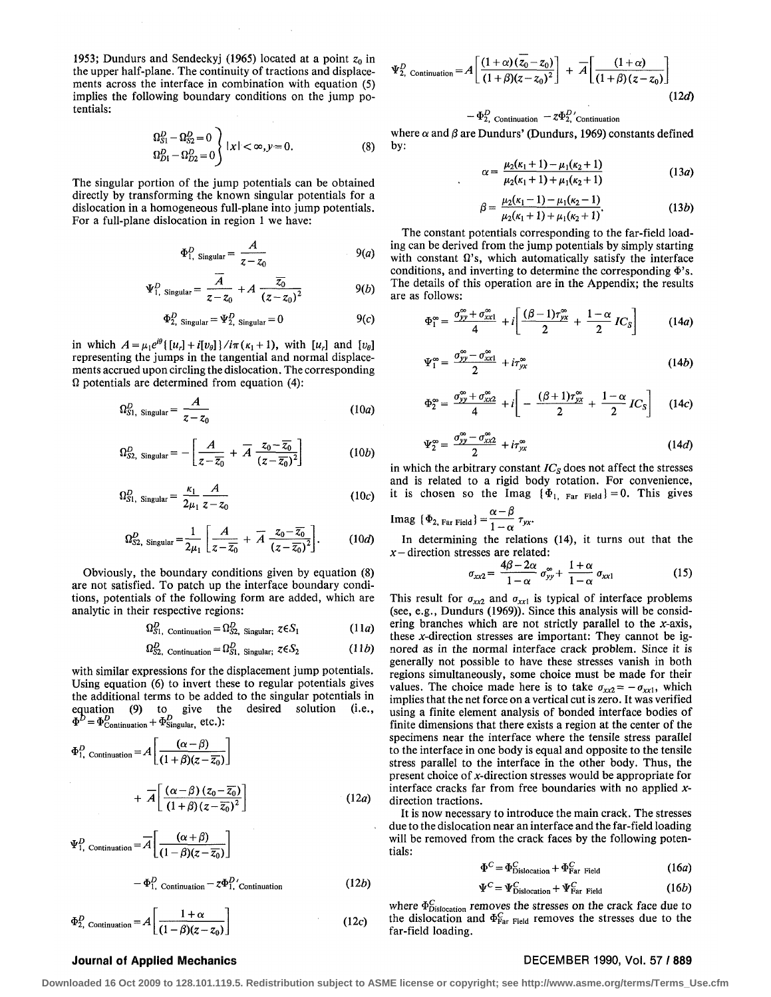1953; Dundurs and Sendeckyj (1965) located at a point  $z_0$  in the upper half-plane. The continuity of tractions and displacements across the interface in combination with equation (5) implies the following boundary conditions on the jump potentials:

$$
\Omega_{S1}^D - \Omega_{S2}^D = 0
$$
  
\n
$$
\Omega_{D1}^D - \Omega_{D2}^D = 0
$$
 |  $x < \infty, y = 0.$  (8)

The singular portion of the jump potentials can be obtained directly by transforming the known singular potentials for a dislocation in a homogeneous full-plane into jump potentials. For a full-plane dislocation in region 1 we have:

$$
\Phi_{1, \text{ Singular}}^D = \frac{A}{z - z_0} \qquad \qquad 9(a)
$$

$$
\Psi_{1, \text{ Singular}}^D = \frac{\overline{A}}{z - z_0} + A \frac{\overline{z_0}}{(z - z_0)^2}
$$
 (b)

$$
\Phi_{2, \text{ Singular}}^D = \Psi_{2, \text{Singular}}^D = 0
$$
 9(c)

in which  $A = \mu_1 e^{i\theta} \{ [u_r] + i[v_\theta] \} / i\pi(\kappa_1 + 1)$ , with  $[u_r]$  and  $[v_\theta]$ representing the jumps in the tangential and normal displacements accrued upon circling the dislocation. The corresponding  $\Omega$  potentials are determined from equation (4):

$$
\Omega_{S1, \text{ Singular}}^D = \frac{A}{z - z_0} \tag{10a}
$$

$$
\Omega_{\text{S2, Singular}}^D = -\left[\frac{A}{z-\overline{z_0}} + \overline{A} \frac{z_0 - \overline{z_0}}{(z-\overline{z_0})^2}\right] \tag{10b}
$$

$$
\Omega_{S1, \text{ Singular}}^D = \frac{\kappa_1}{2\mu_1} \frac{A}{z - z_0} \tag{10c}
$$

$$
\Omega_{S2,\text{ Singular}}^D = \frac{1}{2\mu_1} \left[ \frac{A}{z - \overline{z_0}} + \overline{A} \frac{z_0 - \overline{z_0}}{(z - \overline{z_0})^2} \right].
$$
 (10*d*)

Obviously, the boundary conditions given by equation (8) are not satisfied. To patch up the interface boundary conditions, potentials of the following form are added, which are analytic in their respective regions:

 $\Omega_{S1, \text{ Continuation}}^D = \Omega_{S2, \text{ Singular}}^D; \ z \in S_I$  (11*a*)

$$
\Omega_{S2, \text{ Continuation}}^D = \Omega_{S1, \text{ Singular}; \mathcal{Z}}^D \epsilon S_2 \tag{11b}
$$

with similar expressions for the displacement jump potentials. Using equation (6) to invert these to regular potentials gives the additional terms to be added to the singular potentials in equation (9) to give the desired solution (i.e., equation (9) to give the desired solution (i.e.,  $E_{\text{Continuation}} + \Phi_{\text{Singular}, \text{ etc.}}^D$ 

$$
\Phi_{1, \text{ Continuation}}^{D} = A \left[ \frac{(\alpha - \beta)}{(1 + \beta)(z - \overline{z_0})} \right]
$$

$$
+ \overline{A} \left[ \frac{(\alpha - \beta) (z_0 - \overline{z_0})}{(1 + \beta)(z - \overline{z_0})^2} \right]
$$
(12*a*)

$$
\Psi_{1,\text{ Continuation}}^D = \overline{A} \left[ \frac{(\alpha + \beta)}{(1 - \beta)(z - \overline{z_0})} \right]
$$
\n
$$
\Psi_{1,\text{Continuation}}^D = \overline{A} \frac{(\alpha + \beta)}{(1 - \beta)(z - \overline{z_0})} \tag{121}
$$

$$
\cdot \Phi_{1, \text{ Continuation}}^D - z\Phi_{1, \text{ Continuation}}^D \tag{12b}
$$

$$
\Phi_{2,\text{ Continuation}}^D = A \left[ \frac{1+\alpha}{(1-\beta)(z-z_0)} \right] \tag{12c}
$$

$$
\Psi_{2,\text{ Continuation}}^D = A \left[ \frac{(1+\alpha)(z_0 - z_0)}{(1+\beta)(z - z_0)^2} \right] + \overline{A} \left[ \frac{(1+\alpha)}{(1+\beta)(z - z_0)} \right] \tag{12d}
$$

 $\mathbf{\Psi}_{2}^{\mathbf{\Sigma}}$ , Continuation  $-\mathbf{\mathcal{Z}}\mathbf{\Psi}_{2}^{\mathbf{\Sigma}}$ , Continuation where  $\alpha$  and  $\beta$  are Dundurs' (Dundurs, 1969) constants defined by:

$$
\alpha = \frac{\mu_2(\kappa_1 + 1) - \mu_1(\kappa_2 + 1)}{\mu_2(\kappa_1 + 1) + \mu_1(\kappa_2 + 1)}\tag{13a}
$$

$$
\beta = \frac{\mu_2(\kappa_1 - 1) - \mu_1(\kappa_2 - 1)}{\mu_2(\kappa_1 + 1) + \mu_1(\kappa_2 + 1)}.
$$
 (13*b*)

The constant potentials corresponding to the far-field loading can be derived from the jump potentials by simply starting with constant  $\Omega$ 's, which automatically satisfy the interface conditions, and inverting to determine the corresponding  $\Phi$ 's. The details of this operation are in the Appendix; the results are as follows:

$$
\Phi_1^{\infty} = \frac{\sigma_{yy}^{\infty} + \sigma_{xx1}^{\infty}}{4} + i \left[ \frac{(\beta - 1)\tau_{yx}^{\infty}}{2} + \frac{1 - \alpha}{2} IC_S \right] \qquad (14a)
$$

$$
\Psi_1^{\infty} = \frac{\sigma_{yy}^{\infty} - \sigma_{xx1}^{\infty}}{2} + i\tau_{yx}^{\infty}
$$
 (14b)

$$
\Phi_2^{\infty} = \frac{\sigma_{yy}^{\infty} + \sigma_{xx2}^{\infty}}{4} + i \left[ -\frac{(\beta + 1)\tau_{yx}^{\infty}}{2} + \frac{1 - \alpha}{2} IC_S \right] \quad (14c)
$$

$$
\Psi_2^{\infty} = \frac{\sigma_{yy}^{\infty} - \sigma_{xx2}^{\infty}}{2} + i\tau_{yx}^{\infty}
$$
 (14*d*)

in which the arbitrary constant  $IC<sub>S</sub>$  does not affect the stresses and is related to a rigid body rotation. For convenience, it is chosen so the Imag  $\{\Phi_{1, \text{Far Field}}\} = 0$ . This gives

$$
\text{Imag } \{\Phi_{2,\text{ Far Field}}\} = \frac{\alpha - \beta}{1 - \alpha} \tau_{yx}.
$$

In determining the relations (14), it turns out that the *x —* direction stresses are related:

$$
\sigma_{xx2} = \frac{4\beta - 2\alpha}{1 - \alpha} \sigma_{yy}^{\infty} + \frac{1 + \alpha}{1 - \alpha} \sigma_{xx1}
$$
 (15)

This result for  $\sigma_{xx2}$  and  $\sigma_{xx1}$  is typical of interface problems (see, e.g., Dundurs (1969)). Since this analysis will be considering branches which are not strictly parallel to the  $x$ -axis, these *x*-direction stresses are important: They cannot be ignored as in the normal interface crack problem. Since it is generally not possible to have these stresses vanish in both regions simultaneously, some choice must be made for their values. The choice made here is to take  $\sigma_{xx2} = -\sigma_{xx1}$ , which implies that the net force on a vertical cut is zero. It was verified using a finite element analysis of bonded interface bodies of finite dimensions that there exists a region at the center of the specimens near the interface where the tensile stress parallel to the interface in one body is equal and opposite to the tensile stress parallel to the interface in the other body. Thus, the present choice of x-direction stresses would be appropriate for interface cracks far from free boundaries with no applied *x*direction tractions.

It is now necessary to introduce the main crack. The stresses due to the dislocation near an interface and the far-field loading will be removed from the crack faces by the following potentials:

$$
\Phi^C = \Phi_{\text{Dislocation}}^C + \Phi_{\text{Far Field}}^C \tag{16a}
$$

$$
\Psi^C = \Psi^C_{\text{Dislocation}} + \Psi^C_{\text{Far Field}} \tag{16b}
$$

where  $\Phi_{Dislocation}^C$  removes the stresses on the crack face due to the dislocation and  $\Phi_{\text{Far Field}}^C$  removes the stresses due to the far-field loading.

### **Journal of Applied Mechanics** DECEMBER 1990, Vol. 57 / **889**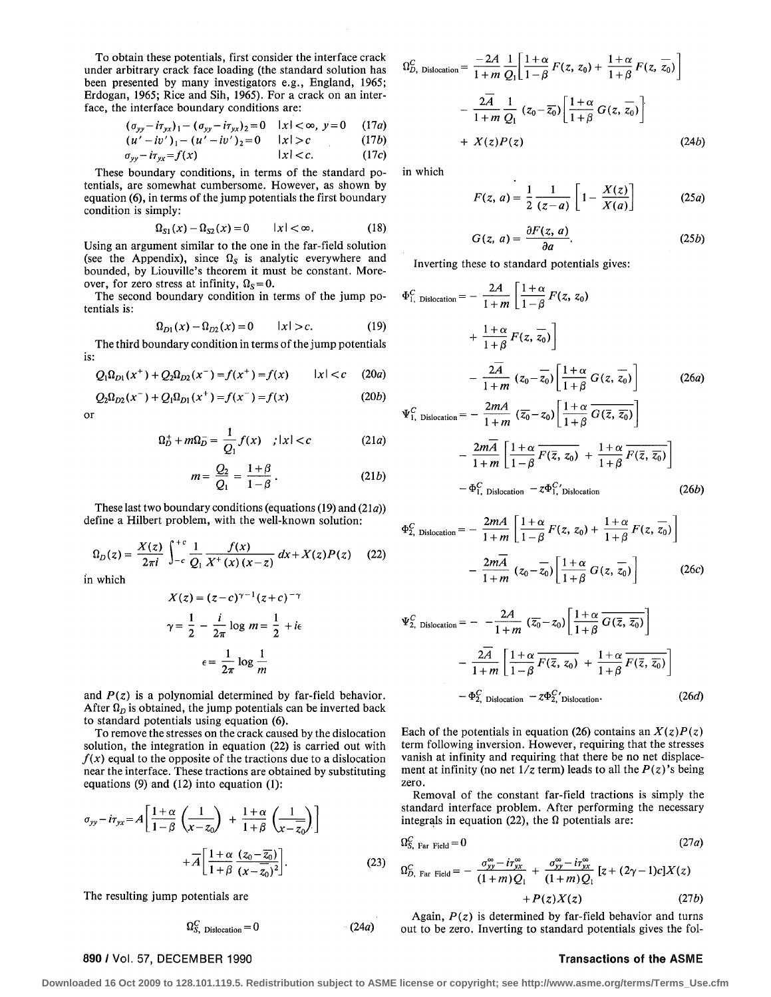To obtain these potentials, first consider the interface crack under arbitrary crack face loading (the standard solution has been presented by many investigators e.g., England, 1965; Erdogan, 1965; Rice and Sih, 1965). For a crack on an interface, the interface boundary conditions are:

$$
(\sigma_{yy} - i\tau_{yx})_1 - (\sigma_{yy} - i\tau_{yx})_2 = 0 \quad |x| < \infty, \ y = 0 \quad (17a)
$$
  

$$
(\mu' - i\nu')_1 - (\mu' - i\nu')_2 = 0 \quad |x| > c \quad (17b)
$$

$$
(u'-iv')_1 - (u'-iv')_2 = 0 \t\t |x| > c \t\t (1/b)
$$

 $\sigma_{yy}-i\tau_{yx}=f(x)$   $|x| < c.$  (17*c*)

These boundary conditions, in terms of the standard potentials, are somewhat cumbersome. However, as shown by equation (6), in terms of the jump potentials the first boundary condition is simply:

$$
\Omega_{S1}(x) - \Omega_{S2}(x) = 0 \qquad |x| < \infty. \tag{18}
$$

Using an argument similar to the one in the far-field solution (see the Appendix), since  $\Omega_S$  is analytic everywhere and bounded, by Liouville's theorem it must be constant. Moreover, for zero stress at infinity,  $\Omega_s = 0$ .

The second boundary condition in terms of the jump potentials is:

$$
\Omega_{D1}(x) - \Omega_{D2}(x) = 0 \qquad |x| > c. \tag{19}
$$

The third boundary condition in terms of the jump potentials is:

$$
Q_1 \Omega_{D1}(x^+) + Q_2 \Omega_{D2}(x^-) = f(x^+) = f(x) \qquad |x| < c \quad (20a)
$$

$$
Q_2\Omega_{D2}(x^-) + Q_1\Omega_{D1}(x^+) = f(x^-) = f(x)
$$
 (20*b*)

 $\alpha$ r

$$
\Omega_D^+ + m\Omega_D^- = \frac{1}{Q_1}f(x) \quad ; |x| < c \tag{21a}
$$

$$
m = \frac{Q_2}{Q_1} = \frac{1+\beta}{1-\beta} \,. \tag{21b}
$$

These last two boundary conditions (equations  $(19)$  and  $(21a)$ ) define a Hilbert problem, with the well-known solution:

$$
\Omega_D(z) = \frac{X(z)}{2\pi i} \int_{-c}^{+c} \frac{1}{Q_1} \frac{f(x)}{X^+(x)(x-z)} dx + X(z)P(z) \quad (22)
$$

in which

$$
X(z) = (z - c)^{\gamma - 1} (z + c)^{-\gamma}
$$

$$
\gamma = \frac{1}{2} - \frac{i}{2\pi} \log m = \frac{1}{2} + i\epsilon
$$

$$
\epsilon = \frac{1}{2\pi} \log \frac{1}{m}
$$

and *P(z)* is a polynomial determined by far-field behavior. After  $\Omega$ <sub>D</sub> is obtained, the jump potentials can be inverted back to standard potentials using equation (6).

To remove the stresses on the crack caused by the dislocation solution, the integration in equation (22) is carried out with  $f(x)$  equal to the opposite of the tractions due to a dislocation near the interface. These tractions are obtained by substituting equations (9) and (12) into equation (1):

$$
\sigma_{yy} - i\tau_{yx} = A \left[ \frac{1+\alpha}{1-\beta} \left( \frac{1}{x-z_0} \right) + \frac{1+\alpha}{1+\beta} \left( \frac{1}{x-z_0} \right) \right] + \overline{A} \left[ \frac{1+\alpha}{1+\beta} \frac{(z_0 - \overline{z_0})}{(x-\overline{z_0})^2} \right].
$$
\n(23)

The resulting jump potentials are

$$
\Omega_{S, \text{ Dislocation}}^C = 0 \tag{24a}
$$

$$
\Omega_{D,\text{ Dislocation}}^C = \frac{-2A}{1+m} \frac{1}{Q_1} \left[ \frac{1+\alpha}{1-\beta} F(z, z_0) + \frac{1+\alpha}{1+\beta} F(z, \overline{z_0}) \right]
$$

$$
- \frac{2\overline{A}}{1+m} \frac{1}{Q_1} (z_0 - \overline{z_0}) \left[ \frac{1+\alpha}{1+\beta} G(z, \overline{z_0}) \right]
$$

$$
+ X(z)P(z) \qquad (24b)
$$

in which

$$
F(z, a) = \frac{1}{2} \frac{1}{(z-a)} \left[ 1 - \frac{X(z)}{X(a)} \right]
$$
 (25a)

$$
G(z, a) = \frac{\partial F(z, a)}{\partial a}.
$$
 (25b)

Inverting these to standard potentials gives:

$$
\Phi_{1, \text{ Dislocation}}^{C} = -\frac{2A}{1+m} \left[ \frac{1+\alpha}{1-\beta} F(z, z_{0}) + \frac{1+\alpha}{1+\beta} F(z, \overline{z_{0}}) \right]
$$

$$
- \frac{2\overline{A}}{1+m} (z_{0}-\overline{z_{0}}) \left[ \frac{1+\alpha}{1+\beta} G(z, \overline{z_{0}}) \right] \qquad (26a)
$$

$$
\Psi_{1, \text{ Dislocation}}^{C} = -\frac{2mA}{1+m} (\overline{z_{0}} - z_{0}) \left[ \frac{1+\alpha}{1+\beta} \overline{G(\overline{z}, \overline{z_{0}})} \right]
$$

$$
- \frac{2m\overline{A}}{1+m} \left[ \frac{1+\alpha}{1-\beta} \overline{F(\overline{z}, z_{0})} + \frac{1+\alpha}{1+\beta} \overline{F(\overline{z}, \overline{z_{0}})} \right]
$$

$$
-\Phi_{\mathrm{I,~Dislocation}}^{C} - z\Phi_{\mathrm{I,~Dislocation}}^{C} \tag{26b}
$$

$$
\Phi_{2,\text{ Dislocation}}^C = -\frac{2mA}{1+m} \left[ \frac{1+\alpha}{1-\beta} F(z, z_0) + \frac{1+\alpha}{1+\beta} F(z, \overline{z_0}) \right]
$$

$$
-\frac{2mA}{1+m} (z_0 - \overline{z_0}) \left[ \frac{1+\alpha}{1+\beta} G(z, \overline{z_0}) \right]
$$
(26c)

$$
\Psi_{2,\text{ Dislocation}}^{C} = -\frac{2A}{1+m} \left( \overline{z_0} - z_0 \right) \left[ \frac{1+\alpha}{1+\beta} \overline{G(\overline{z}, \overline{z_0})} \right]
$$

$$
-\frac{2A}{1+m} \left[ \frac{1+\alpha}{1-\beta} \overline{F(\overline{z}, z_0)} + \frac{1+\alpha}{1+\beta} \overline{F(\overline{z}, \overline{z_0})} \right]
$$

$$
-\Phi_{2,\text{ Dislocation}}^{C} - z\Phi_{2,\text{ Dislocation}}^{C}.
$$
(26*d*)

Each of the potentials in equation (26) contains an  $X(z)P(z)$ term following inversion. However, requiring that the stresses vanish at infinity and requiring that there be no net displacement at infinity (no net  $1/z$  term) leads to all the  $P(z)$ 's being zero.

Removal of the constant far-field tractions is simply the standard interface problem. After performing the necessary integrals in equation (22), the  $\Omega$  potentials are:

$$
\Omega_{S,\text{ Far Field}}^C = 0 \tag{27a}
$$

(23) 
$$
\Omega_{D, \text{ Far Field}}^{C} = -\frac{\sigma_{yy}^{\infty} - i\tau_{yx}^{\infty}}{(1+m)Q_{1}} + \frac{\sigma_{yy}^{\infty} - i\tau_{yx}^{\infty}}{(1+m)Q_{1}} [z + (2\gamma - 1)c]X(z) + P(z)X(z) \qquad (27b)
$$

Again,  $P(z)$  is determined by far-field behavior and turns out to be zero. Inverting to standard potentials gives the fol-

### 890 / Vol. 57, DECEMBER 1990 **Transactions of the ASME**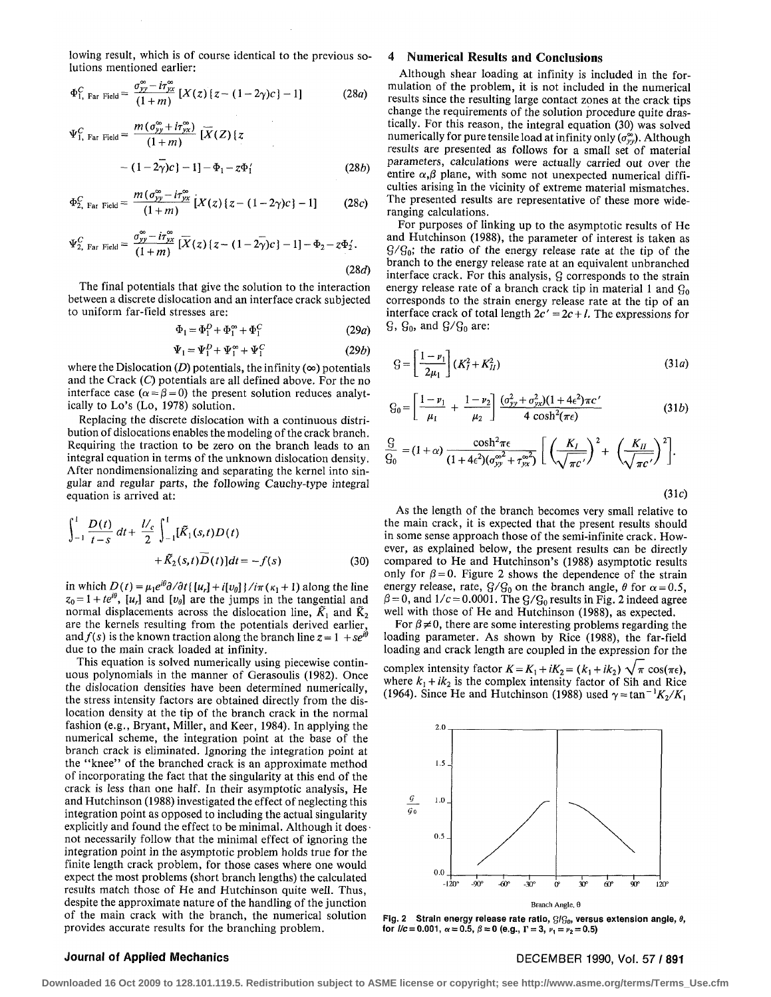lowing result, which is of course identical to the previous solutions mentioned earlier:

$$
\Phi_{1,\text{ Far Field}}^C = \frac{\sigma_{yy}^\infty - i\tau_{yx}^\infty}{(1+m)} \left[ X(z) \left( z - (1-2\gamma)c \right) - 1 \right] \tag{28a}
$$

$$
\Psi_{1, \text{ Far Field}}^{C} = \frac{m(\sigma_{yy}^{\infty} + i\tau_{yx}^{\infty})}{(1+m)} [\overline{X}(Z) \{z
$$

$$
- (1-2\overline{\gamma})c\} - 1] - \Phi_{1} - z\Phi_{1}' \qquad (28b)
$$

$$
\Phi_{2,\text{ Far Field}}^C = \frac{m\left(\sigma_{yy}^\infty - i\tau_{yx}^\infty\right)}{(1+m)} \left[X(z)\left(z - (1-2\gamma)c\right] - 1\right] \tag{28c}
$$

$$
\Psi_{2,\text{ Far Field}}^C = \frac{\sigma_{yy}^{\infty} - i\tau_{yx}^{\infty}}{(1+m)} \left[ \overline{X}(z) \left\{ z - (1-2\overline{\gamma})c \right\} - 1 \right] - \Phi_2 - z\Phi_2'.
$$

 $(28d)$ 

The final potentials that give the solution to the interaction between a discrete dislocation and an interface crack subjected to uniform far-field stresses are:

$$
\Phi_1 = \Phi_1^D + \Phi_1^\infty + \Phi_1^C \tag{29a}
$$

$$
\Psi_1 = \Psi_1^D + \Psi_1^\infty + \Psi_1^C \tag{29b}
$$

where the Dislocation  $(D)$  potentials, the infinity  $(\infty)$  potentials and the Crack *(Q* potentials are all defined above. For the no interface case  $(\alpha = \beta = 0)$  the present solution reduces analytically to Lo's (Lo, 1978) solution.

Replacing the discrete dislocation with a continuous distribution of dislocations enables the modeling of the crack branch. Requiring the traction to be zero on the branch leads to an integral equation in terms of the unknown dislocation density. After nondimensionalizing and separating the kernel into singular and regular parts, the following Cauchy-type integral equation is arrived at:

$$
\int_{-1}^{1} \frac{D(t)}{t-s} dt + \frac{1}{2} \int_{-1}^{1} [\tilde{K}_1(s,t)D(t) + \tilde{K}_2(s,t)\overline{D}(t)] dt = -f(s)
$$
 (30)

in which  $D(t) = \mu_1 e^{i\theta} \partial/\partial t$  {  $[u_r] + i[v_\theta]$  }  $i\pi (k_1 + 1)$  along the line  $z_0 = 1 + te^{i\theta}$ ,  $[u_r]$  and  $[v_\theta]$  are the jumps in the tangential and normal displacements across the dislocation line,  $\tilde{K}_1$  and  $\tilde{K}_2$ are the kernels resulting from the potentials derived earlier, and  $f(s)$  is the known traction along the branch line  $z = 1 + s e^{i\theta}$ due to the main crack loaded at infinity.

This equation is solved numerically using piecewise continuous polynomials in the manner of Gerasoulis (1982). Once the dislocation densities have been determined numerically, the stress intensity factors are obtained directly from the dislocation density at the tip of the branch crack in the normal fashion (e.g., Bryant, Miller, and Keer, 1984). In applying the numerical scheme, the integration point at the base of the branch crack is eliminated. Ignoring the integration point at the "knee" of the branched crack is an approximate method of incorporating the fact that the singularity at this end of the crack is less than one half. In their asymptotic analysis, He and Hutchinson (1988) investigated the effect of neglecting this integration point as opposed to including the actual singularity explicitly and found the effect to be minimal. Although it does • not necessarily follow that the minimal effect of ignoring the integration point in the asymptotic problem holds true for the finite length crack problem, for those cases where one would expect the most problems (short branch lengths) the calculated results match those of He and Hutchinson quite well. Thus, despite the approximate nature of the handling of the junction of the main crack with the branch, the numerical solution provides accurate results for the branching problem.

#### 4 **Numerical Results and Conclusions**

Although shear loading at infinity is included in the formulation of the problem, it is not included in the numerical results since the resulting large contact zones at the crack tips change the requirements of the solution procedure quite drastically. For this reason, the integral equation (30) was solved numerically for pure tensile load at infinity only  $(\sigma_{yy}^{\infty})$ . Although results are presented as follows for a small set of material parameters, calculations were actually carried out over the entire  $\alpha, \beta$  plane, with some not unexpected numerical difficulties arising in the vicinity of extreme material mismatches. The presented results are representative of these more wideranging calculations.

For purposes of linking up to the asymptotic results of He and Hutchinson (1988), the parameter of interest is taken as  $G/G_0$ ; the ratio of the energy release rate at the tip of the branch to the energy release rate at an equivalent unbranched interface crack. For this analysis,  $\beta$  corresponds to the strain energy release rate of a branch crack tip in material 1 and  $G_0$ corresponds to the strain energy release rate at the tip of an interface crack of total length  $2c' = 2c + l$ . The expressions for  $\mathcal{G}, \mathcal{G}_0$ , and  $\mathcal{G}/\mathcal{G}_0$  are:

$$
G = \left[\frac{1 - \nu_1}{2\mu_1}\right] (K_I^2 + K_{II}^2)
$$
 (31*a*)

$$
G_0 = \left[\frac{1-\nu_1}{\mu_1} + \frac{1-\nu_2}{\mu_2}\right] \frac{(\sigma_{yy}^2 + \sigma_{yx}^2)(1+4\epsilon^2)\pi c'}{4\cosh^2(\pi\epsilon)}\tag{31b}
$$

$$
\frac{G}{G_0} = (1+\alpha)\frac{\cosh^2 \pi \epsilon}{(1+4\epsilon^2)(\sigma_{yy}^{\infty^2}+\tau_{yx}^{\infty^2})}\bigg[\left(\frac{K_I}{\sqrt{\pi c'}}\right)^2+\left(\frac{K_{II}}{\sqrt{\pi c'}}\right)^2\bigg].
$$

(31c)

As the length of the branch becomes very small relative to the main crack, it is expected that the present results should in some sense approach those of the semi-infinite crack. However, as explained below, the present results can be directly compared to He and Hutchinson's (1988) asymptotic results only for  $\beta = 0$ . Figure 2 shows the dependence of the strain energy release, rate,  $G/G_0$  on the branch angle,  $\theta$  for  $\alpha = 0.5$ ,  $\beta$  = 0, and 1/c = 0.0001. The G/G<sub>0</sub> results in Fig. 2 indeed agree well with those of He and Hutchinson (1988), as expected.

For  $\beta \neq 0$ , there are some interesting problems regarding the loading parameter. As shown by Rice (1988), the far-field loading and crack length are coupled in the expression for the complex intensity factor  $K = K_1 + iK_2 = (k_1 + ik_2) \sqrt{\pi} \cos(\pi \epsilon)$ , where  $k_1 + ik_2$  is the complex intensity factor of Sih and Rice (1964). Since He and Hutchinson (1988) used  $\gamma = \tan^{-1}K_2/K_1$ 



Fig. 2 Strain energy release rate ratio,  $G/G_0$ , versus extension angle,  $\theta$ , for  $l/c = 0.001$ ,  $\alpha = 0.5$ ,  $\beta = 0$  (e.g.,  $\Gamma = 3$ ,  $\nu_1 = \nu_2 = 0.5$ )

### Journal of Applied Mechanics **DECEMBER 1990, Vol. 57 / 891**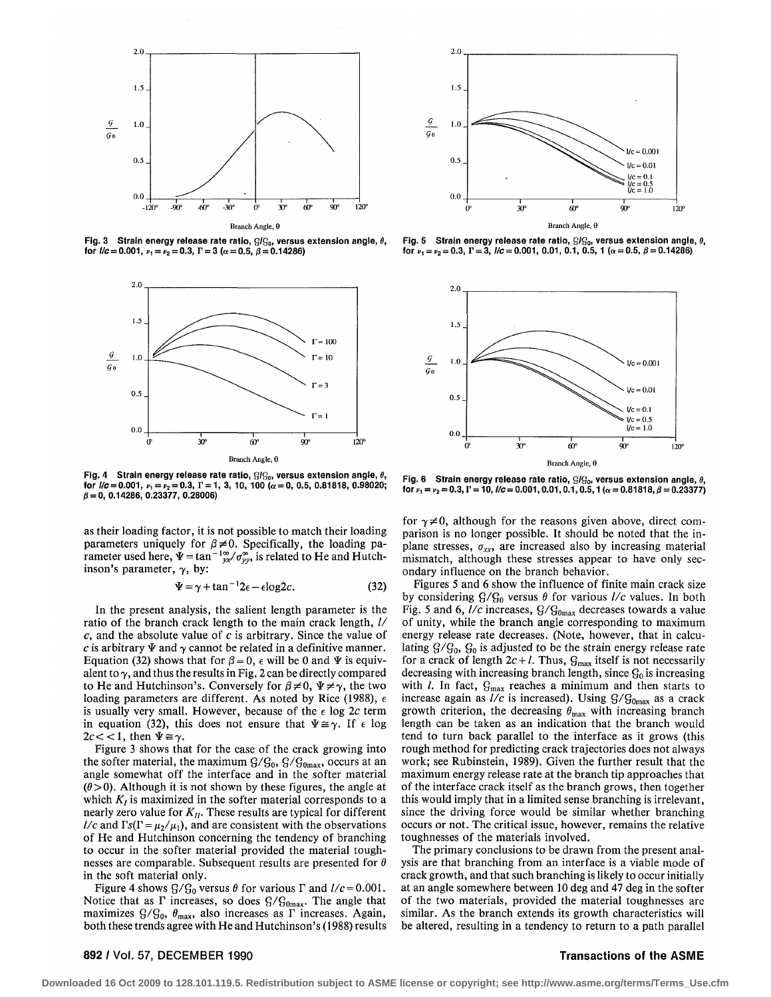

**Fig. 3 Strain energy release rate ratio, g/g0, versus extension angle, 0,**  for  $I/c = 0.001$ ,  $v_1 = v_2 = 0.3$ ,  $\Gamma = 3$  ( $\alpha = 0.5$ ,  $\beta = 0.14286$ )



**Fig. 4 Strain energy release rate ratio, g/g0, versus extension angle, 0, for**  $l/c = 0.001$ ,  $v_1 = v_2 = 0.3$ ,  $\Gamma = 1$ , 3, 10, 100 ( $\alpha = 0$ , 0.5, 0.81818, 0.98020; **0 = 0, 0.14286, 0.23377, 0.28006)** 

as their loading factor, it is not possible to match their loading parameters uniquely for  $\beta \neq 0$ . Specifically, the loading parameter used here,  $\Psi = \tan^{-1} \frac{\infty}{\gamma x} / \sigma_{\gamma\gamma}^{\infty}$ , is related to He and Hutchinson's parameter,  $\gamma$ , by:

$$
\Psi = \gamma + \tan^{-1} 2\epsilon - \epsilon \log 2c. \tag{32}
$$

In the present analysis, the salient length parameter is the ratio of the branch crack length to the main crack length, // *c,* and the absolute value of *c* is arbitrary. Since the value of c is arbitrary  $\Psi$  and  $\gamma$  cannot be related in a definitive manner. Equation (32) shows that for  $\beta = 0$ ,  $\epsilon$  will be 0 and  $\Psi$  is equivalent to  $\gamma$ , and thus the results in Fig. 2 can be directly compared to He and Hutchinson's. Conversely for  $\beta \neq 0$ ,  $\Psi \neq \gamma$ , the two loading parameters are different. As noted by Rice (1988),  $\epsilon$ is usually very small. However, because of the  $\epsilon$  log 2c term in equation (32), this does not ensure that  $\Psi \cong \gamma$ . If  $\epsilon$  log  $2c < 1$ , then  $\Psi \cong \gamma$ .

Figure 3 shows that for the case of the crack growing into the softer material, the maximum  $G/G_0$ ,  $G/G_{0max}$ , occurs at an angle somewhat off the interface and in the softer material  $(\theta > 0)$ . Although it is not shown by these figures, the angle at which  $K_t$  is maximized in the softer material corresponds to a nearly zero value for *Kn.* These results are typical for different *l/c* and  $\Gamma s(\Gamma = \mu_2/\mu_1)$ , and are consistent with the observations of He and Hutchinson concerning the tendency of branching to occur in the softer material provided the material toughnesses are comparable. Subsequent results are presented for *6*  in the soft material only.

Figure 4 shows  $G/G_0$  versus  $\theta$  for various  $\Gamma$  and  $l/c = 0.001$ . Notice that as  $\Gamma$  increases, so does  $G/G_{0max}$ . The angle that maximizes  $G/G_0$ ,  $\theta_{\text{max}}$ , also increases as  $\Gamma$  increases. Again, both these trends agree with He and Hutchinson's (1988) results



**Fig. 5 Strain energy release rate ratio, g/g0, versus extension angle, for**  $v_1 = v_2 = 0.3$ ,  $\Gamma = 3$ ,  $l/c = 0.001$ , 0.01, 0.1, 0.5, 1 ( $\alpha = 0.5$ ,  $\beta = 0.14286$ )



Fig. 6 Strain energy release rate ratio, GIG<sub>0</sub>, versus extension angle,  $\theta$ , **for**  $v_1 = v_2 = 0.3$ ,  $\Gamma = 10$ ,  $l/c = 0.001$ , 0.01, 0.1, 0.5, 1 ( $\alpha = 0.81818$ ,  $\beta = 0.23377$ )

for  $\gamma \neq 0$ , although for the reasons given above, direct comparison is no longer possible. It should be noted that the inplane stresses,  $\sigma_{xx}$ , are increased also by increasing material mismatch, although these stresses appear to have only secondary influence on the branch behavior.

Figures 5 and 6 show the influence of finite main crack size by considering  $G/G_0$  versus  $\theta$  for various  $l/c$  values. In both Fig. 5 and 6,  $l/c$  increases,  $G/G<sub>0max</sub>$  decreases towards a value of unity, while the branch angle corresponding to maximum energy release rate decreases. (Note, however, that in calculating  $G/G_0$ ,  $G_0$  is adjusted to be the strain energy release rate for a crack of length  $2c + l$ . Thus,  $G_{\text{max}}$  itself is not necessarily decreasing with increasing branch length, since  $G_0$  is increasing with  $l$ . In fact,  $Q_{\text{max}}$  reaches a minimum and then starts to increase again as  $l/c$  is increased). Using  $G/G_{0<sub>max</sub>}$  as a crack growth criterion, the decreasing  $\theta_{\text{max}}$  with increasing branch length can be taken as an indication that the branch would tend to turn back parallel to the interface as it grows (this rough method for predicting crack trajectories does not always work; see Rubinstein, 1989). Given the further result that the maximum energy release rate at the branch tip approaches that of the interface crack itself as the branch grows, then together this would imply that in a limited sense branching is irrelevant, since the driving force would be similar whether branching occurs or not. The critical issue, however, remains the relative toughnesses of the materials involved.

The primary conclusions to be drawn from the present analysis are that branching from an interface is a viable mode of crack growth, and that such branching is likely to occur initially at an angle somewhere between 10 deg and 47 deg in the softer of the two materials, provided the material toughnesses are similar. As the branch extends its growth characteristics will be altered, resulting in a tendency to return to a path parallel

### 892 / Vol. 57, DECEMBER 1990 The ASME Transactions of the ASME

**Downloaded 16 Oct 2009 to 128.101.119.5. Redistribution subject to ASME license or copyright; see http://www.asme.org/terms/Terms\_Use.cfm**